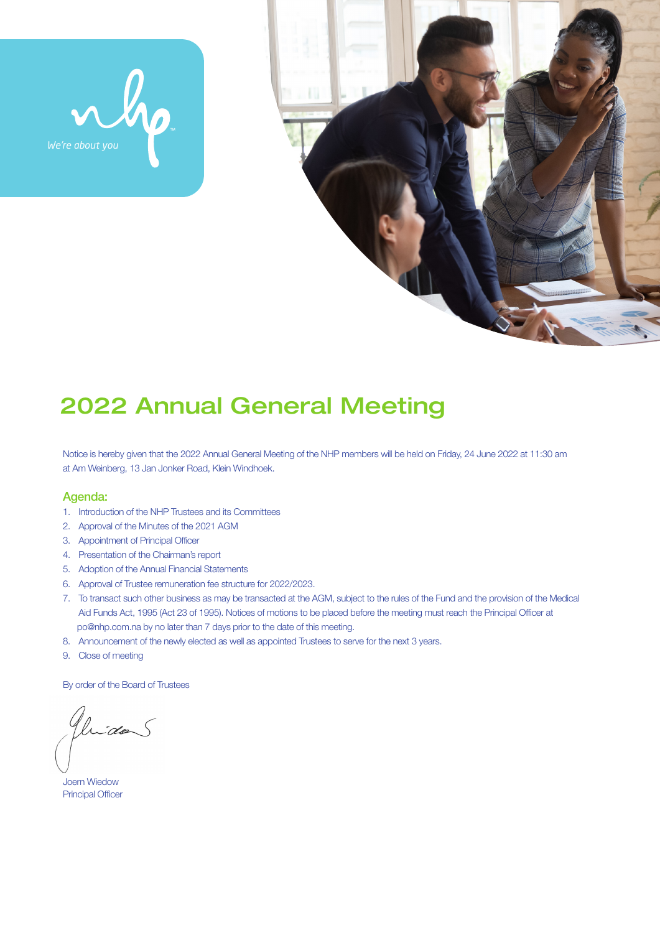



# 2022 Annual General Meeting

Notice is hereby given that the 2022 Annual General Meeting of the NHP members will be held on Friday, 24 June 2022 at 11:30 am at Am Weinberg, 13 Jan Jonker Road, Klein Windhoek.

#### Agenda:

- 1. Introduction of the NHP Trustees and its Committees
- 2. Approval of the Minutes of the 2021 AGM
- 3. Appointment of Principal Officer
- 4. Presentation of the Chairman's report
- 5. Adoption of the Annual Financial Statements
- 6. Approval of Trustee remuneration fee structure for 2022/2023.
- 7. To transact such other business as may be transacted at the AGM, subject to the rules of the Fund and the provision of the Medical Aid Funds Act, 1995 (Act 23 of 1995). Notices of motions to be placed before the meeting must reach the Principal Officer at po@nhp.com.na by no later than 7 days prior to the date of this meeting.
- 8. Announcement of the newly elected as well as appointed Trustees to serve for the next 3 years.
- 9. Close of meeting

By order of the Board of Trustees

Gluidas

Joern Wiedow Principal Officer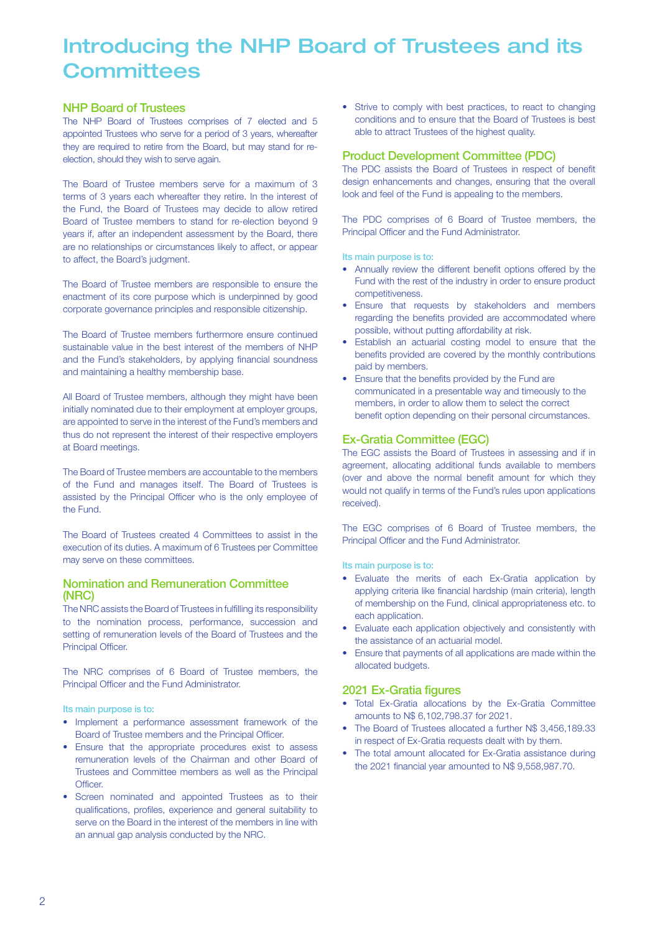## Introducing the NHP Board of Trustees and its **Committees**

#### NHP Board of Trustees

The NHP Board of Trustees comprises of 7 elected and 5 appointed Trustees who serve for a period of 3 years, whereafter they are required to retire from the Board, but may stand for reelection, should they wish to serve again.

The Board of Trustee members serve for a maximum of 3 terms of 3 years each whereafter they retire. In the interest of the Fund, the Board of Trustees may decide to allow retired Board of Trustee members to stand for re-election beyond 9 years if, after an independent assessment by the Board, there are no relationships or circumstances likely to affect, or appear to affect, the Board's judgment.

The Board of Trustee members are responsible to ensure the enactment of its core purpose which is underpinned by good corporate governance principles and responsible citizenship.

The Board of Trustee members furthermore ensure continued sustainable value in the best interest of the members of NHP and the Fund's stakeholders, by applying financial soundness and maintaining a healthy membership base.

All Board of Trustee members, although they might have been initially nominated due to their employment at employer groups, are appointed to serve in the interest of the Fund's members and thus do not represent the interest of their respective employers at Board meetings.

The Board of Trustee members are accountable to the members of the Fund and manages itself. The Board of Trustees is assisted by the Principal Officer who is the only employee of the Fund.

The Board of Trustees created 4 Committees to assist in the execution of its duties. A maximum of 6 Trustees per Committee may serve on these committees.

#### Nomination and Remuneration Committee (NRC)

The NRC assists the Board of Trustees in fulfilling its responsibility to the nomination process, performance, succession and setting of remuneration levels of the Board of Trustees and the Principal Officer.

The NRC comprises of 6 Board of Trustee members, the Principal Officer and the Fund Administrator.

Its main purpose is to:

- Implement a performance assessment framework of the Board of Trustee members and the Principal Officer.
- Ensure that the appropriate procedures exist to assess remuneration levels of the Chairman and other Board of Trustees and Committee members as well as the Principal Officer.
- Screen nominated and appointed Trustees as to their qualifications, profiles, experience and general suitability to serve on the Board in the interest of the members in line with an annual gap analysis conducted by the NRC.

• Strive to comply with best practices, to react to changing conditions and to ensure that the Board of Trustees is best able to attract Trustees of the highest quality.

#### Product Development Committee (PDC)

The PDC assists the Board of Trustees in respect of benefit design enhancements and changes, ensuring that the overall look and feel of the Fund is appealing to the members.

The PDC comprises of 6 Board of Trustee members, the Principal Officer and the Fund Administrator.

#### Its main purpose is to:

- Annually review the different benefit options offered by the Fund with the rest of the industry in order to ensure product competitiveness.
- Ensure that requests by stakeholders and members regarding the benefits provided are accommodated where possible, without putting affordability at risk.
- Establish an actuarial costing model to ensure that the benefits provided are covered by the monthly contributions paid by members.
- Ensure that the benefits provided by the Fund are communicated in a presentable way and timeously to the members, in order to allow them to select the correct benefit option depending on their personal circumstances.

### Ex-Gratia Committee (EGC)

The EGC assists the Board of Trustees in assessing and if in agreement, allocating additional funds available to members (over and above the normal benefit amount for which they would not qualify in terms of the Fund's rules upon applications received).

The EGC comprises of 6 Board of Trustee members, the Principal Officer and the Fund Administrator.

#### Its main purpose is to:

- Evaluate the merits of each Ex-Gratia application by applying criteria like financial hardship (main criteria), length of membership on the Fund, clinical appropriateness etc. to each application.
- Evaluate each application objectively and consistently with the assistance of an actuarial model.
- Ensure that payments of all applications are made within the allocated budgets.

### 2021 Ex-Gratia figures

- Total Ex-Gratia allocations by the Ex-Gratia Committee amounts to N\$ 6,102,798.37 for 2021.
- The Board of Trustees allocated a further N\$ 3,456,189.33 in respect of Ex-Gratia requests dealt with by them.
- The total amount allocated for Ex-Gratia assistance during the 2021 financial year amounted to N\$ 9,558,987.70.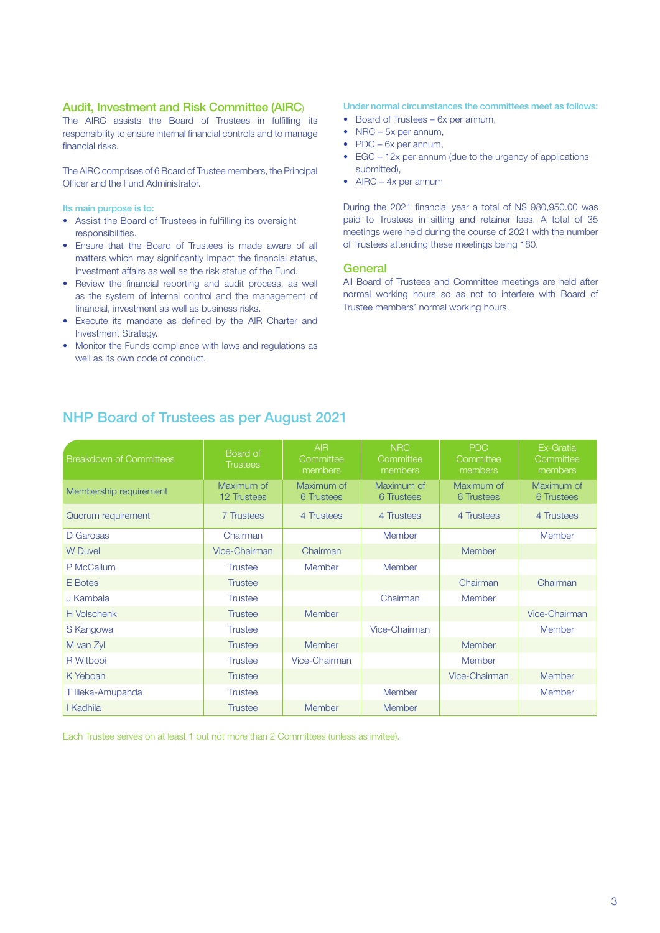#### Audit, Investment and Risk Committee (AIRC)

The AIRC assists the Board of Trustees in fulfilling its responsibility to ensure internal financial controls and to manage financial risks.

The AIRC comprises of 6 Board of Trustee members, the Principal Officer and the Fund Administrator.

Its main purpose is to:

- Assist the Board of Trustees in fulfilling its oversight responsibilities.
- Ensure that the Board of Trustees is made aware of all matters which may significantly impact the financial status, investment affairs as well as the risk status of the Fund.
- Review the financial reporting and audit process, as well as the system of internal control and the management of financial, investment as well as business risks.
- Execute its mandate as defined by the AIR Charter and Investment Strategy.
- Monitor the Funds compliance with laws and regulations as well as its own code of conduct.

#### Under normal circumstances the committees meet as follows:

- Board of Trustees 6x per annum,
- NRC 5x per annum,
- PDC 6x per annum,
- EGC 12x per annum (due to the urgency of applications submitted),
- AIRC 4x per annum

During the 2021 financial year a total of N\$ 980,950.00 was paid to Trustees in sitting and retainer fees. A total of 35 meetings were held during the course of 2021 with the number of Trustees attending these meetings being 180.

#### **General**

All Board of Trustees and Committee meetings are held after normal working hours so as not to interfere with Board of Trustee members' normal working hours.

| <b>Breakdown of Committees</b> | Board of<br><b>Trustees</b>      | <b>AIR</b><br>Committee<br>members | <b>NRC</b><br>Committee<br>members | PDC<br>Committee<br>members | Ex-Gratia<br>Committee<br>members |
|--------------------------------|----------------------------------|------------------------------------|------------------------------------|-----------------------------|-----------------------------------|
| Membership requirement         | Maximum of<br><b>12 Trustees</b> | Maximum of<br>6 Trustees           | Maximum of<br>6 Trustees           | Maximum of<br>6 Trustees    | Maximum of<br>6 Trustees          |
| Quorum requirement             | 7 Trustees                       | 4 Trustees                         | 4 Trustees                         | 4 Trustees                  | 4 Trustees                        |
| D Garosas                      | Chairman                         |                                    | Member                             |                             | Member                            |
| <b>W</b> Duvel                 | Vice-Chairman                    | Chairman                           |                                    | Member                      |                                   |
| P McCallum                     | <b>Trustee</b>                   | <b>Member</b>                      | Member                             |                             |                                   |
| E Botes                        | <b>Trustee</b>                   |                                    |                                    | Chairman                    | Chairman                          |
| J Kambala                      | <b>Trustee</b>                   |                                    | Chairman                           | Member                      |                                   |
| <b>H</b> Volschenk             | <b>Trustee</b>                   | <b>Member</b>                      |                                    |                             | Vice-Chairman                     |
| S Kangowa                      | <b>Trustee</b>                   |                                    | Vice-Chairman                      |                             | Member                            |
| M van Zyl                      | <b>Trustee</b>                   | <b>Member</b>                      |                                    | <b>Member</b>               |                                   |
| R Witbooi                      | <b>Trustee</b>                   | Vice-Chairman                      |                                    | Member                      |                                   |
| K Yeboah                       | <b>Trustee</b>                   |                                    |                                    | Vice-Chairman               | Member                            |
| T lileka-Amupanda              | <b>Trustee</b>                   |                                    | <b>Member</b>                      |                             | <b>Member</b>                     |
| I Kadhila                      | <b>Trustee</b>                   | <b>Member</b>                      | <b>Member</b>                      |                             |                                   |

NHP Board of Trustees as per August 2021

Each Trustee serves on at least 1 but not more than 2 Committees (unless as invitee).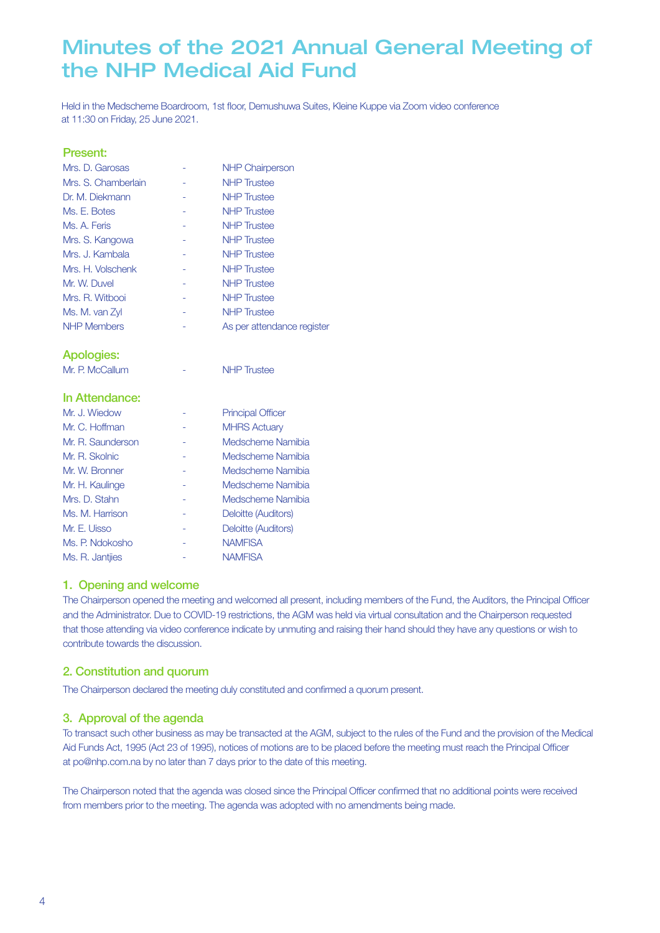# Minutes of the 2021 Annual General Meeting of the NHP Medical Aid Fund

Held in the Medscheme Boardroom, 1st floor, Demushuwa Suites, Kleine Kuppe via Zoom video conference at 11:30 on Friday, 25 June 2021.

#### Present:

| Mrs. D. Garosas     |   | <b>NHP Chairperson</b>     |
|---------------------|---|----------------------------|
| Mrs. S. Chamberlain |   | <b>NHP</b> Trustee         |
| Dr. M. Diekmann     |   | <b>NHP</b> Trustee         |
| Ms. E. Botes        | ۰ | <b>NHP</b> Trustee         |
| Ms. A. Feris        |   | <b>NHP</b> Trustee         |
| Mrs. S. Kangowa     |   | <b>NHP</b> Trustee         |
| Mrs. J. Kambala     |   | <b>NHP</b> Trustee         |
| Mrs. H. Volschenk   |   | <b>NHP</b> Trustee         |
| Mr. W. Duvel        |   | <b>NHP</b> Trustee         |
| Mrs. R. Witbooi     |   | <b>NHP Trustee</b>         |
| Ms. M. van Zyl      | - | <b>NHP Trustee</b>         |
| <b>NHP Members</b>  |   | As per attendance register |
|                     |   |                            |

Apologies:

Mr. P. McCallum - NHP Trustee

#### In Attendance:

| Mr. J. Wiedow     | <b>Principal Officer</b> |
|-------------------|--------------------------|
| Mr. C. Hoffman    | <b>MHRS Actuary</b>      |
| Mr. R. Saunderson | Medscheme Namibia        |
| Mr. R. Skolnic    | Medscheme Namibia        |
| Mr. W. Bronner    | Medscheme Namibia        |
| Mr. H. Kaulinge   | Medscheme Namibia        |
| Mrs. D. Stahn     | Medscheme Namibia        |
| Ms. M. Harrison   | Deloitte (Auditors)      |
| Mr. E. Uisso      | Deloitte (Auditors)      |
| Ms. P. Ndokosho   | <b>NAMFISA</b>           |
| Ms. R. Jantijes   | <b>NAMFISA</b>           |

### 1. Opening and welcome

The Chairperson opened the meeting and welcomed all present, including members of the Fund, the Auditors, the Principal Officer and the Administrator. Due to COVID-19 restrictions, the AGM was held via virtual consultation and the Chairperson requested that those attending via video conference indicate by unmuting and raising their hand should they have any questions or wish to contribute towards the discussion.

### 2. Constitution and quorum

The Chairperson declared the meeting duly constituted and confirmed a quorum present.

### 3. Approval of the agenda

To transact such other business as may be transacted at the AGM, subject to the rules of the Fund and the provision of the Medical Aid Funds Act, 1995 (Act 23 of 1995), notices of motions are to be placed before the meeting must reach the Principal Officer at po@nhp.com.na by no later than 7 days prior to the date of this meeting.

The Chairperson noted that the agenda was closed since the Principal Officer confirmed that no additional points were received from members prior to the meeting. The agenda was adopted with no amendments being made.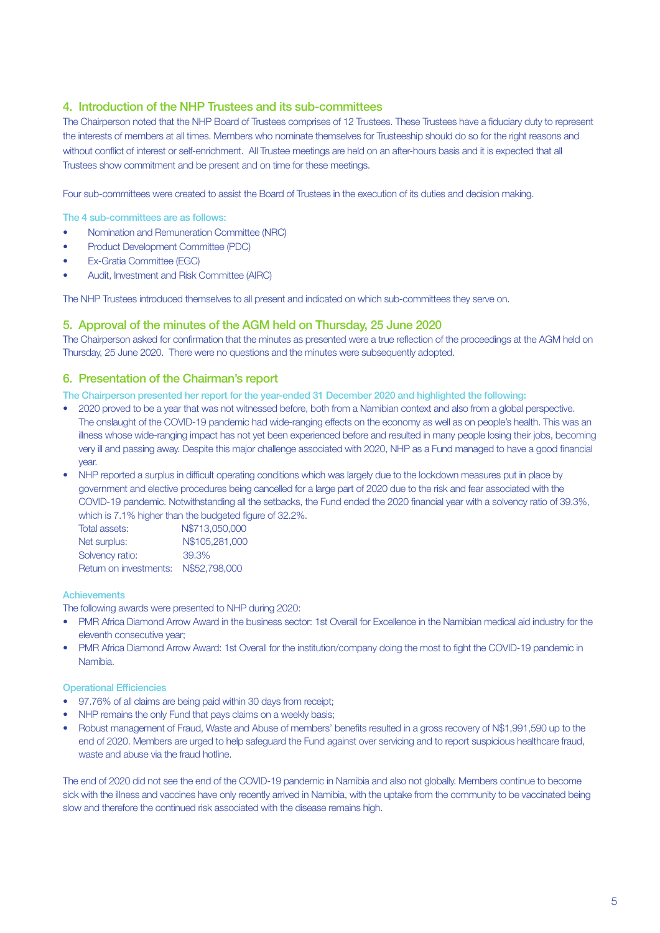### 4. Introduction of the NHP Trustees and its sub-committees

The Chairperson noted that the NHP Board of Trustees comprises of 12 Trustees. These Trustees have a fiduciary duty to represent the interests of members at all times. Members who nominate themselves for Trusteeship should do so for the right reasons and without conflict of interest or self-enrichment. All Trustee meetings are held on an after-hours basis and it is expected that all Trustees show commitment and be present and on time for these meetings.

Four sub-committees were created to assist the Board of Trustees in the execution of its duties and decision making.

The 4 sub-committees are as follows:

- Nomination and Remuneration Committee (NRC)
- Product Development Committee (PDC)
- Ex-Gratia Committee (EGC)
- Audit, Investment and Risk Committee (AIRC)

The NHP Trustees introduced themselves to all present and indicated on which sub-committees they serve on.

#### 5. Approval of the minutes of the AGM held on Thursday, 25 June 2020

The Chairperson asked for confirmation that the minutes as presented were a true reflection of the proceedings at the AGM held on Thursday, 25 June 2020. There were no questions and the minutes were subsequently adopted.

#### 6. Presentation of the Chairman's report

The Chairperson presented her report for the year-ended 31 December 2020 and highlighted the following:

- 2020 proved to be a year that was not witnessed before, both from a Namibian context and also from a global perspective. The onslaught of the COVID-19 pandemic had wide-ranging effects on the economy as well as on people's health. This was an illness whose wide-ranging impact has not yet been experienced before and resulted in many people losing their jobs, becoming very ill and passing away. Despite this major challenge associated with 2020, NHP as a Fund managed to have a good financial year.
- NHP reported a surplus in difficult operating conditions which was largely due to the lockdown measures put in place by government and elective procedures being cancelled for a large part of 2020 due to the risk and fear associated with the COVID-19 pandemic. Notwithstanding all the setbacks, the Fund ended the 2020 financial year with a solvency ratio of 39.3%, which is 7.1% higher than the budgeted figure of 32.2%.

| Total assets:          | N\$713,050,000 |
|------------------------|----------------|
| Net surplus:           | N\$105,281,000 |
| Solvency ratio:        | 39.3%          |
| Return on investments: | N\$52,798,000  |

#### **Achievements**

The following awards were presented to NHP during 2020:

- PMR Africa Diamond Arrow Award in the business sector: 1st Overall for Excellence in the Namibian medical aid industry for the eleventh consecutive year;
- PMR Africa Diamond Arrow Award: 1st Overall for the institution/company doing the most to fight the COVID-19 pandemic in Namibia.

#### Operational Efficiencies

- 97.76% of all claims are being paid within 30 days from receipt;
- NHP remains the only Fund that pays claims on a weekly basis;
- Robust management of Fraud, Waste and Abuse of members' benefits resulted in a gross recovery of N\$1,991,590 up to the end of 2020. Members are urged to help safeguard the Fund against over servicing and to report suspicious healthcare fraud, waste and abuse via the fraud hotline.

The end of 2020 did not see the end of the COVID-19 pandemic in Namibia and also not globally. Members continue to become sick with the illness and vaccines have only recently arrived in Namibia, with the uptake from the community to be vaccinated being slow and therefore the continued risk associated with the disease remains high.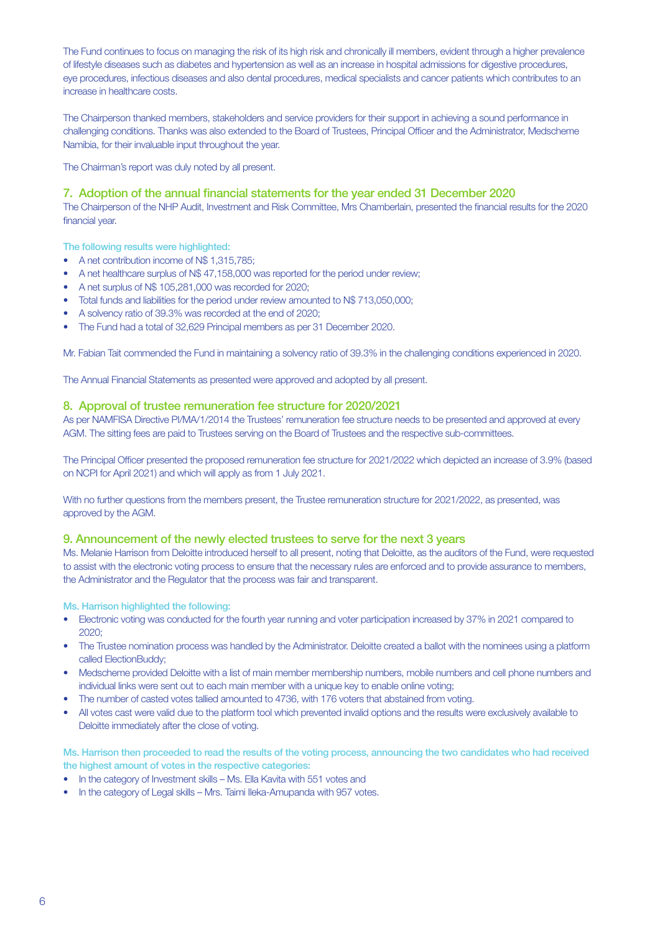The Fund continues to focus on managing the risk of its high risk and chronically ill members, evident through a higher prevalence of lifestyle diseases such as diabetes and hypertension as well as an increase in hospital admissions for digestive procedures, eye procedures, infectious diseases and also dental procedures, medical specialists and cancer patients which contributes to an increase in healthcare costs.

The Chairperson thanked members, stakeholders and service providers for their support in achieving a sound performance in challenging conditions. Thanks was also extended to the Board of Trustees, Principal Officer and the Administrator, Medscheme Namibia, for their invaluable input throughout the year.

The Chairman's report was duly noted by all present.

#### 7. Adoption of the annual financial statements for the year ended 31 December 2020

The Chairperson of the NHP Audit, Investment and Risk Committee, Mrs Chamberlain, presented the financial results for the 2020 financial year.

The following results were highlighted:

- A net contribution income of N\$ 1,315,785;
- A net healthcare surplus of N\$ 47,158,000 was reported for the period under review;
- A net surplus of N\$ 105,281,000 was recorded for 2020;
- Total funds and liabilities for the period under review amounted to N\$ 713,050,000;
- A solvency ratio of 39.3% was recorded at the end of 2020;
- The Fund had a total of 32,629 Principal members as per 31 December 2020.

Mr. Fabian Tait commended the Fund in maintaining a solvency ratio of 39.3% in the challenging conditions experienced in 2020.

The Annual Financial Statements as presented were approved and adopted by all present.

#### 8. Approval of trustee remuneration fee structure for 2020/2021

As per NAMFISA Directive PI/MA/1/2014 the Trustees' remuneration fee structure needs to be presented and approved at every AGM. The sitting fees are paid to Trustees serving on the Board of Trustees and the respective sub-committees.

The Principal Officer presented the proposed remuneration fee structure for 2021/2022 which depicted an increase of 3.9% (based on NCPI for April 2021) and which will apply as from 1 July 2021.

With no further questions from the members present, the Trustee remuneration structure for 2021/2022, as presented, was approved by the AGM.

#### 9. Announcement of the newly elected trustees to serve for the next 3 years

Ms. Melanie Harrison from Deloitte introduced herself to all present, noting that Deloitte, as the auditors of the Fund, were requested to assist with the electronic voting process to ensure that the necessary rules are enforced and to provide assurance to members, the Administrator and the Regulator that the process was fair and transparent.

Ms. Harrison highlighted the following:

- Electronic voting was conducted for the fourth year running and voter participation increased by 37% in 2021 compared to 2020;
- The Trustee nomination process was handled by the Administrator. Deloitte created a ballot with the nominees using a platform called ElectionBuddy;
- Medscheme provided Deloitte with a list of main member membership numbers, mobile numbers and cell phone numbers and individual links were sent out to each main member with a unique key to enable online voting;
- The number of casted votes tallied amounted to 4736, with 176 voters that abstained from voting.
- All votes cast were valid due to the platform tool which prevented invalid options and the results were exclusively available to Deloitte immediately after the close of voting.

Ms. Harrison then proceeded to read the results of the voting process, announcing the two candidates who had received the highest amount of votes in the respective categories:

- In the category of Investment skills Ms. Ella Kavita with 551 votes and
- In the category of Legal skills Mrs. Taimi Ileka-Amupanda with 957 votes.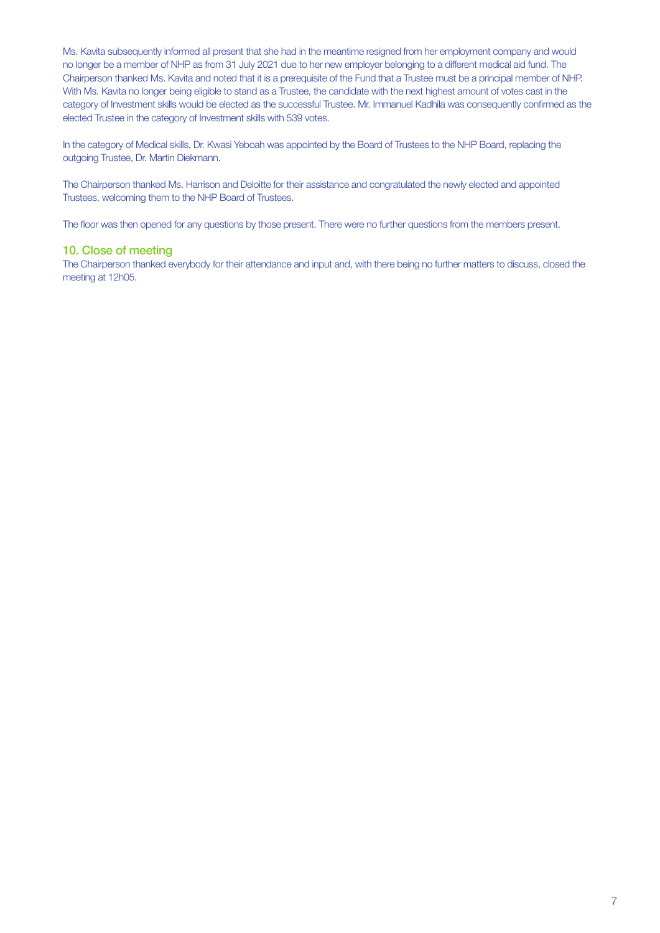Ms. Kavita subsequently informed all present that she had in the meantime resigned from her employment company and would no longer be a member of NHP as from 31 July 2021 due to her new employer belonging to a different medical aid fund. The Chairperson thanked Ms. Kavita and noted that it is a prerequisite of the Fund that a Trustee must be a principal member of NHP. With Ms. Kavita no longer being eligible to stand as a Trustee, the candidate with the next highest amount of votes cast in the category of Investment skills would be elected as the successful Trustee. Mr. Immanuel Kadhila was consequently confirmed as the elected Trustee in the category of Investment skills with 539 votes.

In the category of Medical skills, Dr. Kwasi Yeboah was appointed by the Board of Trustees to the NHP Board, replacing the outgoing Trustee, Dr. Martin Diekmann.

The Chairperson thanked Ms. Harrison and Deloitte for their assistance and congratulated the newly elected and appointed Trustees, welcoming them to the NHP Board of Trustees.

The floor was then opened for any questions by those present. There were no further questions from the members present.

#### 10. Close of meeting

The Chairperson thanked everybody for their attendance and input and, with there being no further matters to discuss, closed the meeting at 12h05.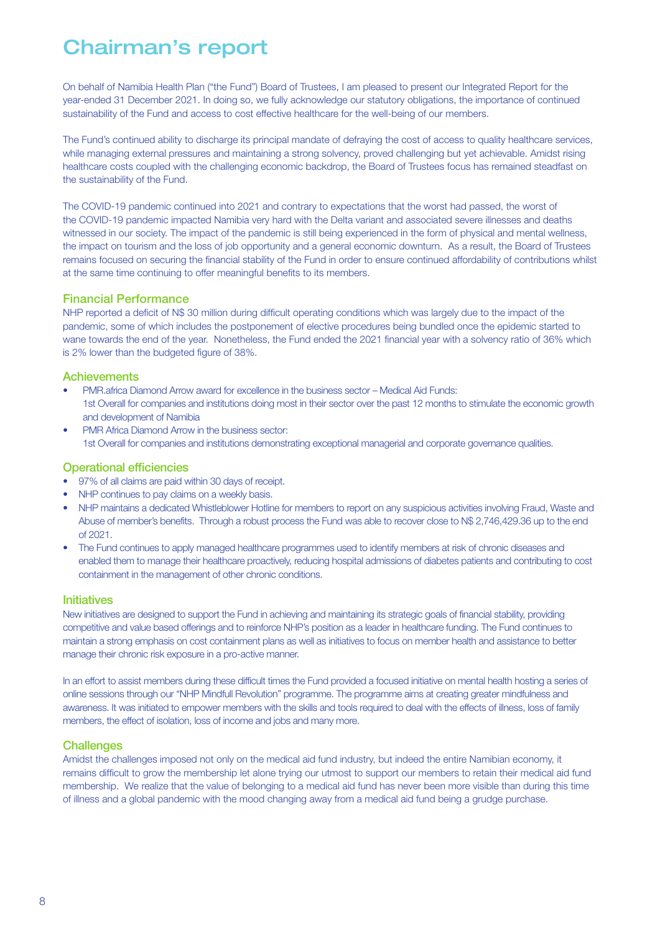# Chairman's report

On behalf of Namibia Health Plan ("the Fund") Board of Trustees, I am pleased to present our Integrated Report for the year-ended 31 December 2021. In doing so, we fully acknowledge our statutory obligations, the importance of continued sustainability of the Fund and access to cost effective healthcare for the well-being of our members.

The Fund's continued ability to discharge its principal mandate of defraying the cost of access to quality healthcare services, while managing external pressures and maintaining a strong solvency, proved challenging but yet achievable. Amidst rising healthcare costs coupled with the challenging economic backdrop, the Board of Trustees focus has remained steadfast on the sustainability of the Fund.

The COVID-19 pandemic continued into 2021 and contrary to expectations that the worst had passed, the worst of the COVID-19 pandemic impacted Namibia very hard with the Delta variant and associated severe illnesses and deaths witnessed in our society. The impact of the pandemic is still being experienced in the form of physical and mental wellness, the impact on tourism and the loss of job opportunity and a general economic downturn. As a result, the Board of Trustees remains focused on securing the financial stability of the Fund in order to ensure continued affordability of contributions whilst at the same time continuing to offer meaningful benefits to its members.

#### Financial Performance

NHP reported a deficit of N\$ 30 million during difficult operating conditions which was largely due to the impact of the pandemic, some of which includes the postponement of elective procedures being bundled once the epidemic started to wane towards the end of the year. Nonetheless, the Fund ended the 2021 financial year with a solvency ratio of 36% which is 2% lower than the budgeted figure of 38%.

#### **Achievements**

- PMR.africa Diamond Arrow award for excellence in the business sector Medical Aid Funds: 1st Overall for companies and institutions doing most in their sector over the past 12 months to stimulate the economic growth and development of Namibia
- PMR Africa Diamond Arrow in the business sector: 1st Overall for companies and institutions demonstrating exceptional managerial and corporate governance qualities.

#### Operational efficiencies

- 97% of all claims are paid within 30 days of receipt.
- NHP continues to pay claims on a weekly basis.
- NHP maintains a dedicated Whistleblower Hotline for members to report on any suspicious activities involving Fraud, Waste and Abuse of member's benefits. Through a robust process the Fund was able to recover close to N\$ 2,746,429.36 up to the end of 2021.
- The Fund continues to apply managed healthcare programmes used to identify members at risk of chronic diseases and enabled them to manage their healthcare proactively, reducing hospital admissions of diabetes patients and contributing to cost containment in the management of other chronic conditions.

#### **Initiatives**

New initiatives are designed to support the Fund in achieving and maintaining its strategic goals of financial stability, providing competitive and value based offerings and to reinforce NHP's position as a leader in healthcare funding. The Fund continues to maintain a strong emphasis on cost containment plans as well as initiatives to focus on member health and assistance to better manage their chronic risk exposure in a pro-active manner.

In an effort to assist members during these difficult times the Fund provided a focused initiative on mental health hosting a series of online sessions through our "NHP Mindfull Revolution" programme. The programme aims at creating greater mindfulness and awareness. It was initiated to empower members with the skills and tools required to deal with the effects of illness, loss of family members, the effect of isolation, loss of income and jobs and many more.

#### **Challenges**

Amidst the challenges imposed not only on the medical aid fund industry, but indeed the entire Namibian economy, it remains difficult to grow the membership let alone trying our utmost to support our members to retain their medical aid fund membership. We realize that the value of belonging to a medical aid fund has never been more visible than during this time of illness and a global pandemic with the mood changing away from a medical aid fund being a grudge purchase.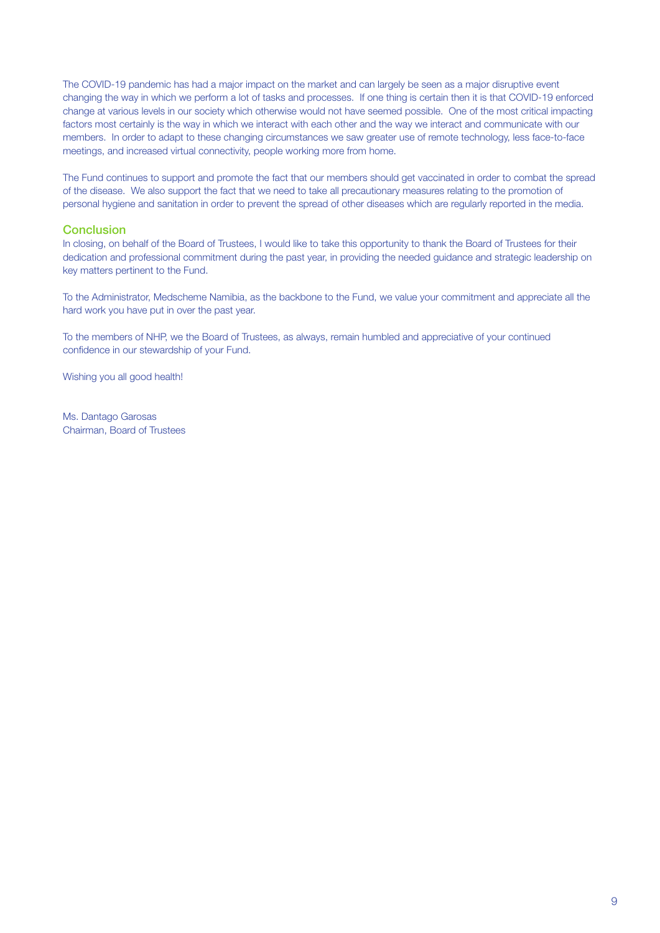The COVID-19 pandemic has had a major impact on the market and can largely be seen as a major disruptive event changing the way in which we perform a lot of tasks and processes. If one thing is certain then it is that COVID-19 enforced change at various levels in our society which otherwise would not have seemed possible. One of the most critical impacting factors most certainly is the way in which we interact with each other and the way we interact and communicate with our members. In order to adapt to these changing circumstances we saw greater use of remote technology, less face-to-face meetings, and increased virtual connectivity, people working more from home.

The Fund continues to support and promote the fact that our members should get vaccinated in order to combat the spread of the disease. We also support the fact that we need to take all precautionary measures relating to the promotion of personal hygiene and sanitation in order to prevent the spread of other diseases which are regularly reported in the media.

#### **Conclusion**

In closing, on behalf of the Board of Trustees, I would like to take this opportunity to thank the Board of Trustees for their dedication and professional commitment during the past year, in providing the needed guidance and strategic leadership on key matters pertinent to the Fund.

To the Administrator, Medscheme Namibia, as the backbone to the Fund, we value your commitment and appreciate all the hard work you have put in over the past year.

To the members of NHP, we the Board of Trustees, as always, remain humbled and appreciative of your continued confidence in our stewardship of your Fund.

Wishing you all good health!

Ms. Dantago Garosas Chairman, Board of Trustees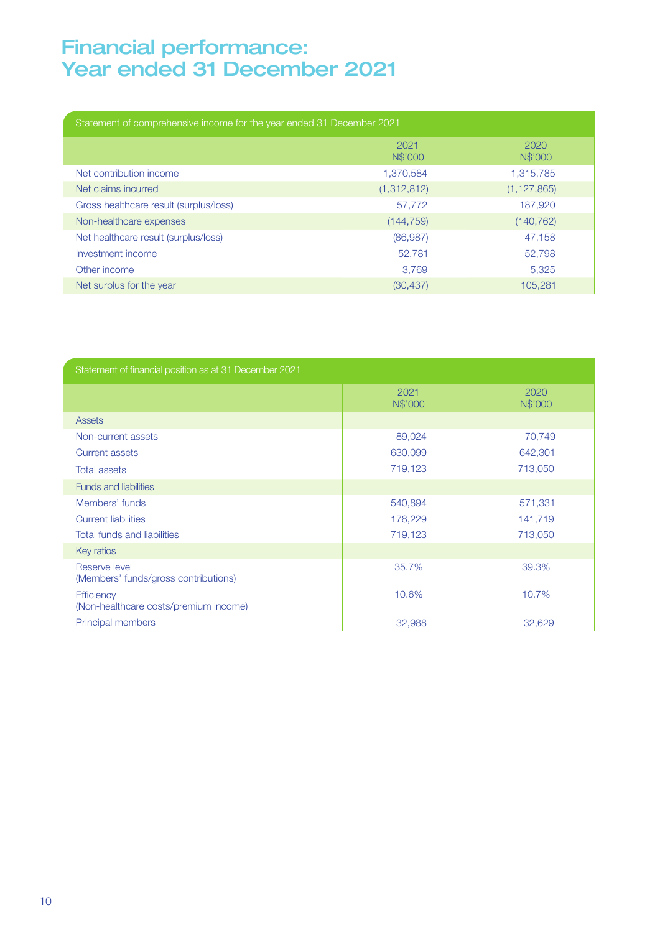## Financial performance: Year ended 31 December 2021

| Statement of comprehensive income for the year ended 31 December 2021 |                 |                 |
|-----------------------------------------------------------------------|-----------------|-----------------|
|                                                                       | 2021<br>N\$'000 | 2020<br>N\$'000 |
| Net contribution income                                               | 1,370,584       | 1,315,785       |
| Net claims incurred                                                   | (1,312,812)     | (1, 127, 865)   |
| Gross healthcare result (surplus/loss)                                | 57.772          | 187,920         |
| Non-healthcare expenses                                               | (144, 759)      | (140, 762)      |
| Net healthcare result (surplus/loss)                                  | (86, 987)       | 47,158          |
| Investment income                                                     | 52.781          | 52.798          |
| Other income                                                          | 3.769           | 5.325           |
| Net surplus for the year                                              | (30, 437)       | 105.281         |

| Statement of financial position as at 31 December 2021     |                 |                 |
|------------------------------------------------------------|-----------------|-----------------|
|                                                            | 2021<br>N\$'000 | 2020<br>N\$'000 |
| <b>Assets</b>                                              |                 |                 |
| Non-current assets                                         | 89,024          | 70,749          |
| <b>Current assets</b>                                      | 630,099         | 642,301         |
| <b>Total assets</b>                                        | 719,123         | 713,050         |
| <b>Funds and liabilities</b>                               |                 |                 |
| Members' funds                                             | 540,894         | 571,331         |
| <b>Current liabilities</b>                                 | 178,229         | 141,719         |
| <b>Total funds and liabilities</b>                         | 719,123         | 713,050         |
| Key ratios                                                 |                 |                 |
| Reserve level<br>(Members' funds/gross contributions)      | 35.7%           | 39.3%           |
| <b>Efficiency</b><br>(Non-healthcare costs/premium income) | 10.6%           | 10.7%           |
| Principal members                                          | 32,988          | 32,629          |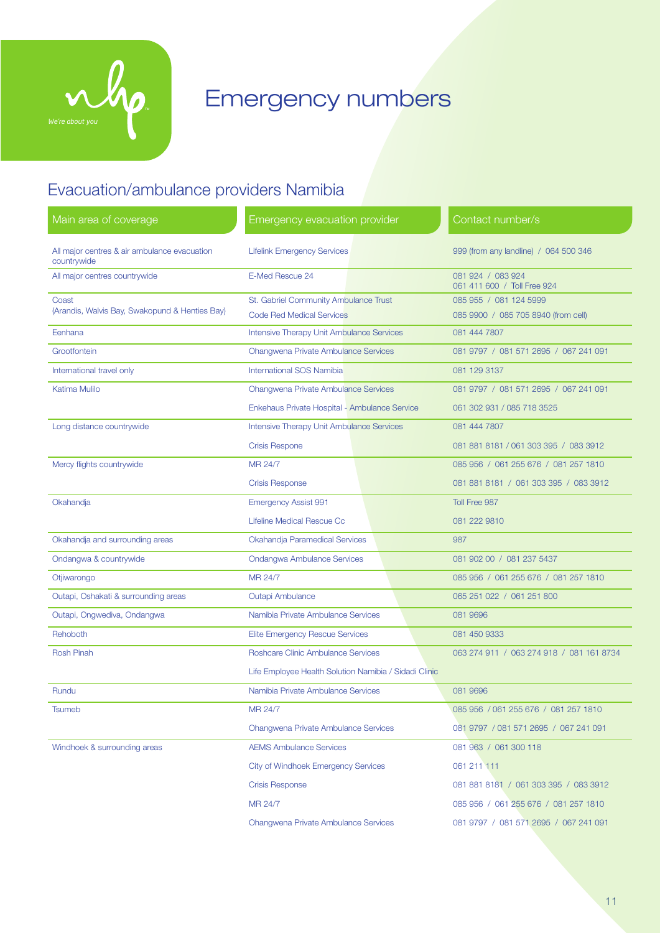

# Emergency numbers

## Evacuation/ambulance providers Namibia

| Main area of coverage                                       | <b>Emergency evacuation provider</b>                  | Contact number/s                                 |
|-------------------------------------------------------------|-------------------------------------------------------|--------------------------------------------------|
| All major centres & air ambulance evacuation<br>countrywide | <b>Lifelink Emergency Services</b>                    | 999 (from any landline) / 064 500 346            |
| All major centres countrywide                               | E-Med Rescue 24                                       | 081 924 / 083 924<br>061 411 600 / Toll Free 924 |
| Coast                                                       | St. Gabriel Community Ambulance Trust                 | 085 955 / 081 124 5999                           |
| (Arandis, Walvis Bay, Swakopund & Henties Bay)              | <b>Code Red Medical Services</b>                      | 085 9900 / 085 705 8940 (from cell)              |
| Eenhana                                                     | Intensive Therapy Unit Ambulance Services             | 081 444 7807                                     |
| Grootfontein                                                | <b>Ohangwena Private Ambulance Services</b>           | 081 9797 / 081 571 2695 / 067 241 091            |
| International travel only                                   | <b>International SOS Namibia</b>                      | 081 129 3137                                     |
| Katima Mulilo                                               | <b>Ohangwena Private Ambulance Services</b>           | 081 9797 / 081 571 2695 / 067 241 091            |
|                                                             | Enkehaus Private Hospital - Ambulance Service         | 061 302 931 / 085 718 3525                       |
| Long distance countrywide                                   | <b>Intensive Therapy Unit Ambulance Services</b>      | 081 444 7807                                     |
|                                                             | <b>Crisis Respone</b>                                 | 081 881 8181 / 061 303 395 / 083 3912            |
| Mercy flights countrywide                                   | MR 24/7                                               | 085 956 / 061 255 676 / 081 257 1810             |
|                                                             | <b>Crisis Response</b>                                | 081 881 8181 / 061 303 395 / 083 3912            |
| Okahandja                                                   | <b>Emergency Assist 991</b>                           | Toll Free 987                                    |
|                                                             | Lifeline Medical Rescue Cc                            | 081 222 9810                                     |
| Okahandja and surrounding areas                             | Okahandja Paramedical Services                        | 987                                              |
| Ondangwa & countrywide                                      | <b>Ondangwa Ambulance Services</b>                    | 081 902 00 / 081 237 5437                        |
| Otjiwarongo                                                 | MR 24/7                                               | 085 956 / 061 255 676 / 081 257 1810             |
| Outapi, Oshakati & surrounding areas                        | <b>Outapi Ambulance</b>                               | 065 251 022 / 061 251 800                        |
| Outapi, Ongwediva, Ondangwa                                 | Namibia Private Ambulance Services                    | 081 9696                                         |
| Rehoboth                                                    | <b>Elite Emergency Rescue Services</b>                | 081 450 9333                                     |
| <b>Rosh Pinah</b>                                           | Roshcare Clinic Ambulance Services                    | 063 274 911 / 063 274 918 / 081 161 8734         |
|                                                             | Life Employee Health Solution Namibia / Sidadi Clinic |                                                  |
| Rundu                                                       | Namibia Private Ambulance Services                    | 081 9696                                         |
| Tsumeb                                                      | MR 24/7                                               | 085 956 / 061 255 676 / 081 257 1810             |
|                                                             | Ohangwena Private Ambulance Services                  | 081 9797 / 081 571 2695 / 067 241 091            |
| Windhoek & surrounding areas                                | <b>AEMS Ambulance Services</b>                        | 081 963 / 061 300 118                            |
|                                                             | <b>City of Windhoek Emergency Services</b>            | 061 211 111                                      |
|                                                             | <b>Crisis Response</b>                                | 081 881 8181 / 061 303 395 / 083 3912            |
|                                                             | MR 24/7                                               | 085 956 / 061 255 676 / 081 257 1810             |
|                                                             | <b>Ohangwena Private Ambulance Services</b>           | 081 9797 / 081 571 2695 / 067 241 091            |